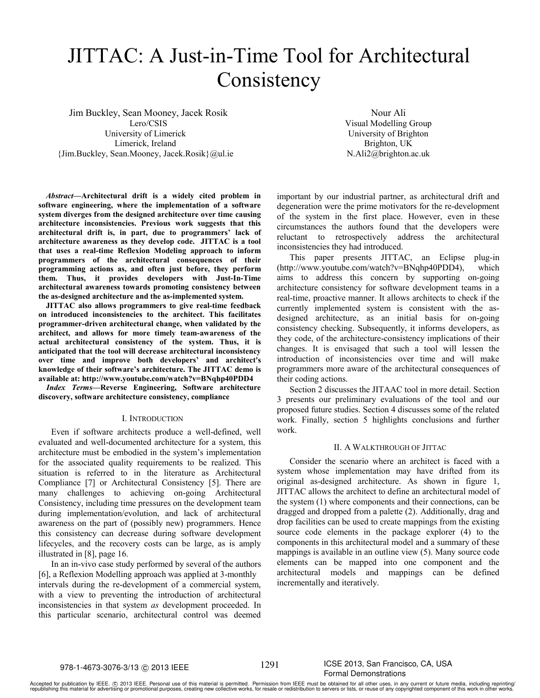# JITTAC: A Just-in-Time Tool for Architectural **Consistency**

Jim Buckley, Sean Mooney, Jacek Rosik Lero/CSIS University of Limerick Limerick, Ireland {Jim.Buckley, Sean.Mooney, Jacek.Rosik}@ul.ie

Nour Ali Visual Modelling Group University of Brighton Brighton, UK N.Ali2@brighton.ac.uk

*Abstract***—Architectural drift is a widely cited problem in software engineering, where the implementation of a software system diverges from the designed architecture over time causing architecture inconsistencies. Previous work suggests that this architectural drift is, in part, due to programmers' lack of architecture awareness as they develop code. JITTAC is a tool that uses a real-time Reflexion Modeling approach to inform programmers of the architectural consequences of their programming actions as, and often just before, they perform them. Thus, it provides developers with Just-In-Time architectural awareness towards promoting consistency between the as-designed architecture and the as-implemented system.** 

**JITTAC also allows programmers to give real-time feedback on introduced inconsistencies to the architect. This facilitates programmer-driven architectural change, when validated by the architect, and allows for more timely team-awareness of the actual architectural consistency of the system. Thus, it is anticipated that the tool will decrease architectural inconsistency over time and improve both developers' and architect's knowledge of their software's architecture. The JITTAC demo is available at: http://www.youtube.com/watch?v=BNqhp40PDD4**

*Index Terms***—Reverse Engineering, Software architecture discovery, software architecture consistency, compliance**

#### I. INTRODUCTION

Even if software architects produce a well-defined, well evaluated and well-documented architecture for a system, this architecture must be embodied in the system's implementation for the associated quality requirements to be realized. This situation is referred to in the literature as Architectural Compliance [7] or Architectural Consistency [5]. There are many challenges to achieving on-going Architectural Consistency, including time pressures on the development team during implementation/evolution, and lack of architectural awareness on the part of (possibly new) programmers. Hence this consistency can decrease during software development lifecycles, and the recovery costs can be large, as is amply illustrated in [8], page 16.

In an in-vivo case study performed by several of the authors [6], a Reflexion Modelling approach was applied at 3-monthly intervals during the re-development of a commercial system, with a view to preventing the introduction of architectural inconsistencies in that system *as* development proceeded. In this particular scenario, architectural control was deemed important by our industrial partner, as architectural drift and degeneration were the prime motivators for the re-development of the system in the first place. However, even in these circumstances the authors found that the developers were reluctant to retrospectively address the architectural inconsistencies they had introduced.

This paper presents JITTAC, an Eclipse plug-in (http://www.youtube.com/watch?v=BNqhp40PDD4), which aims to address this concern by supporting on-going architecture consistency for software development teams in a real-time, proactive manner. It allows architects to check if the currently implemented system is consistent with the asdesigned architecture, as an initial basis for on-going consistency checking. Subsequently, it informs developers, as they code, of the architecture-consistency implications of their changes. It is envisaged that such a tool will lessen the introduction of inconsistencies over time and will make programmers more aware of the architectural consequences of their coding actions.

Section 2 discusses the JITAAC tool in more detail. Section 3 presents our preliminary evaluations of the tool and our proposed future studies. Section 4 discusses some of the related work. Finally, section 5 highlights conclusions and further work.

## II. A WALKTHROUGH OF JITTAC

Consider the scenario where an architect is faced with a system whose implementation may have drifted from its original as-designed architecture. As shown in figure 1, JITTAC allows the architect to define an architectural model of the system (1) where components and their connections, can be dragged and dropped from a palette (2). Additionally, drag and drop facilities can be used to create mappings from the existing source code elements in the package explorer (4) to the components in this architectural model and a summary of these mappings is available in an outline view (5). Many source code elements can be mapped into one component and the architectural models and mappings can be defined incrementally and iteratively.

1291

Accepted for publication by IEEE. ⓒ 2013 IEEE. Personal use of this material is permitted. Permission from IEEE must be obtained for all other uses, in any current or future media, including reprinting/<br>republishing this m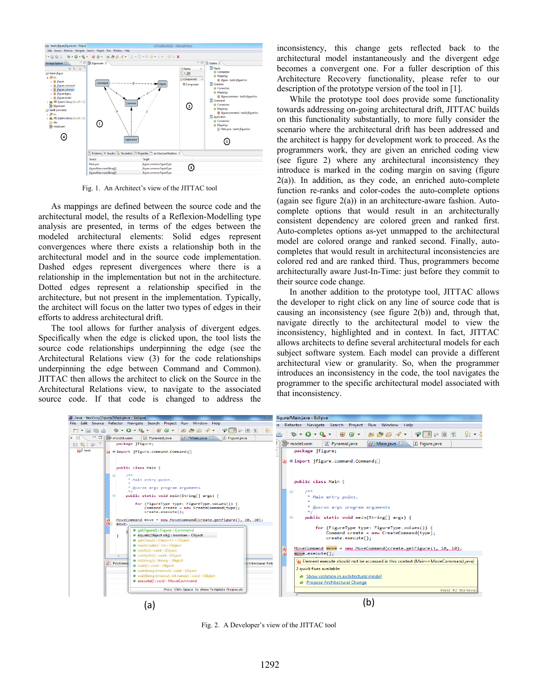

Fig. 1. An Architect's view of the JITTAC tool

As mappings are defined between the source code and the architectural model, the results of a Reflexion-Modelling type analysis are presented, in terms of the edges between the modeled architectural elements: Solid edges represent convergences where there exists a relationship both in the architectural model and in the source code implementation. Dashed edges represent divergences where there is a relationship in the implementation but not in the architecture. Dotted edges represent a relationship specified in the architecture, but not present in the implementation. Typically, the architect will focus on the latter two types of edges in their efforts to address architectural drift.

The tool allows for further analysis of divergent edges. Specifically when the edge is clicked upon, the tool lists the source code relationships underpinning the edge (see the Architectural Relations view (3) for the code relationships underpinning the edge between Command and Common). JITTAC then allows the architect to click on the Source in the Architectural Relations view, to navigate to the associated source code. If that code is changed to address the inconsistency, this change gets reflected back to the architectural model instantaneously and the divergent edge becomes a convergent one. For a fuller description of this Architecture Recovery functionality, please refer to our description of the prototype version of the tool in [1].

While the prototype tool does provide some functionality towards addressing on-going architectural drift, JITTAC builds on this functionality substantially, to more fully consider the scenario where the architectural drift has been addressed and the architect is happy for development work to proceed. As the programmers work, they are given an enriched coding view (see figure 2) where any architectural inconsistency they introduce is marked in the coding margin on saving (figure  $2(a)$ ). In addition, as they code, an enriched auto-complete function re-ranks and color-codes the auto-complete options (again see figure  $2(a)$ ) in an architecture-aware fashion. Autocomplete options that would result in an architecturally consistent dependency are colored green and ranked first. Auto-completes options as-yet unmapped to the architectural model are colored orange and ranked second. Finally, autocompletes that would result in architectural inconsistencies are colored red and are ranked third. Thus, programmers become architecturally aware Just-In-Time: just before they commit to their source code change.

In another addition to the prototype tool, JITTAC allows the developer to right click on any line of source code that is causing an inconsistency (see figure 2(b)) and, through that, navigate directly to the architectural model to view the inconsistency, highlighted and in context. In fact, JITTAC allows architects to define several architectural models for each subject software system. Each model can provide a different architectural view or granularity. So, when the programmer introduces an inconsistency in the code, the tool navigates the programmer to the specific architectural model associated with that inconsistency.



Fig. 2. A Developer's view of the JITTAC tool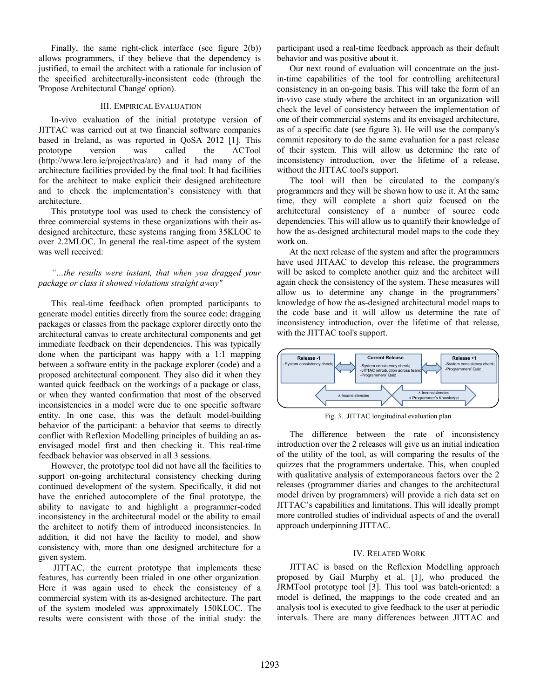Finally, the same right-click interface (see figure 2(b)) allows programmers, if they believe that the dependency is justified, to email the architect with a rationale for inclusion of the specified architecturally-inconsistent code (through the 'Propose Architectural Change' option).

## III. EMPIRICAL EVALUATION

In-vivo evaluation of the initial prototype version of JITTAC was carried out at two financial software companies based in Ireland, as was reported in QoSA 2012 [1]. This prototype version was called the ACTool (http://www.lero.ie/project/rca/arc) and it had many of the architecture facilities provided by the final tool: It had facilities for the architect to make explicit their designed architecture and to check the implementation's consistency with that architecture.

This prototype tool was used to check the consistency of three commercial systems in these organizations with their asdesigned architecture, these systems ranging from 35KLOC to over 2.2MLOC. In general the real-time aspect of the system was well received:

## *"…the results were instant, that when you dragged your package or class it showed violations straight away"*

This real-time feedback often prompted participants to generate model entities directly from the source code: dragging packages or classes from the package explorer directly onto the architectural canvas to create architectural components and get immediate feedback on their dependencies. This was typically done when the participant was happy with a 1:1 mapping between a software entity in the package explorer (code) and a proposed architectural component. They also did it when they wanted quick feedback on the workings of a package or class, or when they wanted confirmation that most of the observed inconsistencies in a model were due to one specific software entity. In one case, this was the default model-building behavior of the participant: a behavior that seems to directly conflict with Reflexion Modelling principles of building an asenvisaged model first and then checking it. This real-time feedback behavior was observed in all 3 sessions.

However, the prototype tool did not have all the facilities to support on-going architectural consistency checking during continued development of the system. Specifically, it did not have the enriched autocomplete of the final prototype, the ability to navigate to and highlight a programmer-coded inconsistency in the architectural model or the ability to email the architect to notify them of introduced inconsistencies. In addition, it did not have the facility to model, and show consistency with, more than one designed architecture for a given system.

JITTAC, the current prototype that implements these features, has currently been trialed in one other organization. Here it was again used to check the consistency of a commercial system with its as-designed architecture. The part of the system modeled was approximately 150KLOC. The results were consistent with those of the initial study: the participant used a real-time feedback approach as their default behavior and was positive about it.

Our next round of evaluation will concentrate on the justin-time capabilities of the tool for controlling architectural consistency in an on-going basis. This will take the form of an in-vivo case study where the architect in an organization will check the level of consistency between the implementation of one of their commercial systems and its envisaged architecture, as of a specific date (see figure 3). He will use the company's commit repository to do the same evaluation for a past release of their system. This will allow us determine the rate of inconsistency introduction, over the lifetime of a release, without the JITTAC tool's support.

The tool will then be circulated to the company's programmers and they will be shown how to use it. At the same time, they will complete a short quiz focused on the architectural consistency of a number of source code dependencies. This will allow us to quantify their knowledge of how the as-designed architectural model maps to the code they work on.

At the next release of the system and after the programmers have used JITAAC to develop this release, the programmers will be asked to complete another quiz and the architect will again check the consistency of the system. These measures will allow us to determine any change in the programmers' knowledge of how the as-designed architectural model maps to the code base and it will allow us determine the rate of inconsistency introduction, over the lifetime of that release, with the JITTAC tool's support.



Fig. 3. JITTAC longitudinal evaluation plan

The difference between the rate of inconsistency introduction over the 2 releases will give us an initial indication of the utility of the tool, as will comparing the results of the quizzes that the programmers undertake. This, when coupled with qualitative analysis of extemporaneous factors over the 2 releases (programmer diaries and changes to the architectural model driven by programmers) will provide a rich data set on JITTAC's capabilities and limitations. This will ideally prompt more controlled studies of individual aspects of and the overall approach underpinning JITTAC.

## IV. RELATED WORK

JITTAC is based on the Reflexion Modelling approach proposed by Gail Murphy et al. [1], who produced the JRMTool prototype tool [3]. This tool was batch-oriented: a model is defined, the mappings to the code created and an analysis tool is executed to give feedback to the user at periodic intervals. There are many differences between JITTAC and